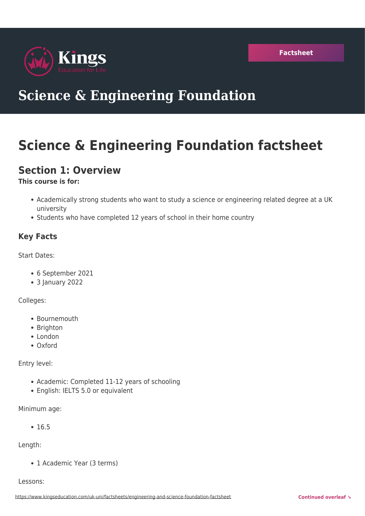

# **Science & Engineering Foundation**

# **Science & Engineering Foundation factsheet**

# **Section 1: Overview**

### **This course is for:**

- Academically strong students who want to study a science or engineering related degree at a UK university
- Students who have completed 12 years of school in their home country

### **Key Facts**

Start Dates:

- 6 September 2021
- 3 January 2022

#### Colleges:

- Bournemouth
- Brighton
- London
- Oxford

Entry level:

- Academic: Completed 11-12 years of schooling
- English: IELTS 5.0 or equivalent

Minimum age:

 $• 16.5$ 

Length:

• 1 Academic Year (3 terms)

Lessons: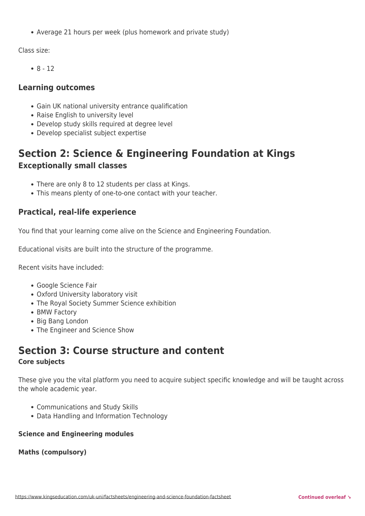Average 21 hours per week (plus homework and private study)

Class size:

 $8 - 12$ 

#### **Learning outcomes**

- Gain UK national university entrance qualification
- Raise English to university level
- Develop study skills required at degree level
- Develop specialist subject expertise

# **Section 2: Science & Engineering Foundation at Kings Exceptionally small classes**

- There are only 8 to 12 students per class at Kings.
- This means plenty of one-to-one contact with your teacher.

### **Practical, real-life experience**

You find that your learning come alive on the Science and Engineering Foundation.

Educational visits are built into the structure of the programme.

Recent visits have included:

- Google Science Fair
- Oxford University laboratory visit
- The Royal Society Summer Science exhibition
- BMW Factory
- Big Bang London
- The Engineer and Science Show

# **Section 3: Course structure and content**

#### **Core subjects**

These give you the vital platform you need to acquire subject specific knowledge and will be taught across the whole academic year.

- Communications and Study Skills
- Data Handling and Information Technology

#### **Science and Engineering modules**

#### **Maths (compulsory)**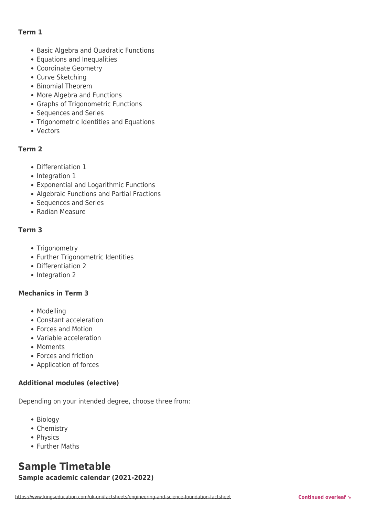#### **Term 1**

- Basic Algebra and Quadratic Functions
- Equations and Inequalities
- Coordinate Geometry
- Curve Sketching
- Binomial Theorem
- More Algebra and Functions
- Graphs of Trigonometric Functions
- Sequences and Series
- Trigonometric Identities and Equations
- Vectors

#### **Term 2**

- Differentiation 1
- Integration 1
- Exponential and Logarithmic Functions
- Algebraic Functions and Partial Fractions
- Sequences and Series
- Radian Measure

#### **Term 3**

- Trigonometry
- Further Trigonometric Identities
- Differentiation 2
- Integration 2

#### **Mechanics in Term 3**

- Modelling
- Constant acceleration
- Forces and Motion
- Variable acceleration
- Moments
- Forces and friction
- Application of forces

#### **Additional modules (elective)**

Depending on your intended degree, choose three from:

- Biology
- Chemistry
- Physics
- Further Maths

## **Sample Timetable Sample academic calendar (2021-2022)**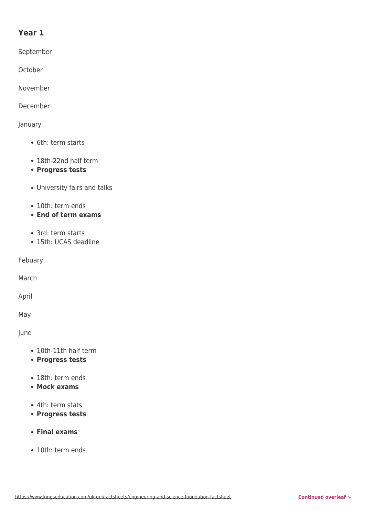## **Year 1**

September

**October** 

November

December

January

- 6th: term starts
- 18th-22nd half term
- **Progress tests**
- University fairs and talks
- 10th: term ends
- **End of term exams**
- 3rd: term starts
- 15th: UCAS deadline

Febuary

March

April

May

June

- 10th-11th half term
- **Progress tests**
- 18th: term ends
- **Mock exams**
- 4th: term stats
- **Progress tests**
- **Final exams**
- 10th: term ends